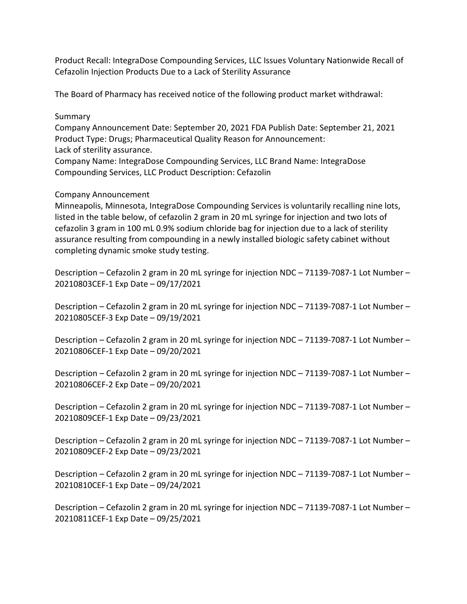Product Recall: IntegraDose Compounding Services, LLC Issues Voluntary Nationwide Recall of Cefazolin Injection Products Due to a Lack of Sterility Assurance

The Board of Pharmacy has received notice of the following product market withdrawal:

## Summary

 Product Type: Drugs; Pharmaceutical Quality Reason for Announcement: Company Announcement Date: September 20, 2021 FDA Publish Date: September 21, 2021 Lack of sterility assurance.

 Compounding Services, LLC Product Description: Cefazolin Company Name: IntegraDose Compounding Services, LLC Brand Name: IntegraDose

## Company Announcement

 Minneapolis, Minnesota, IntegraDose Compounding Services is voluntarily recalling nine lots, listed in the table below, of cefazolin 2 gram in 20 mL syringe for injection and two lots of cefazolin 3 gram in 100 mL 0.9% sodium chloride bag for injection due to a lack of sterility assurance resulting from compounding in a newly installed biologic safety cabinet without completing dynamic smoke study testing.

 Description – Cefazolin 2 gram in 20 mL syringe for injection NDC – 71139-7087-1 Lot Number – 20210803CEF-1 Exp Date – 09/17/2021

 Description – Cefazolin 2 gram in 20 mL syringe for injection NDC – 71139-7087-1 Lot Number – 20210805CEF-3 Exp Date – 09/19/2021

 Description – Cefazolin 2 gram in 20 mL syringe for injection NDC – 71139-7087-1 Lot Number – 20210806CEF-1 Exp Date – 09/20/2021

 Description – Cefazolin 2 gram in 20 mL syringe for injection NDC – 71139-7087-1 Lot Number – 20210806CEF-2 Exp Date – 09/20/2021

 Description – Cefazolin 2 gram in 20 mL syringe for injection NDC – 71139-7087-1 Lot Number – 20210809CEF-1 Exp Date – 09/23/2021

 Description – Cefazolin 2 gram in 20 mL syringe for injection NDC – 71139-7087-1 Lot Number – 20210809CEF-2 Exp Date – 09/23/2021

 Description – Cefazolin 2 gram in 20 mL syringe for injection NDC – 71139-7087-1 Lot Number – 20210810CEF-1 Exp Date – 09/24/2021

 Description – Cefazolin 2 gram in 20 mL syringe for injection NDC – 71139-7087-1 Lot Number – 20210811CEF-1 Exp Date – 09/25/2021